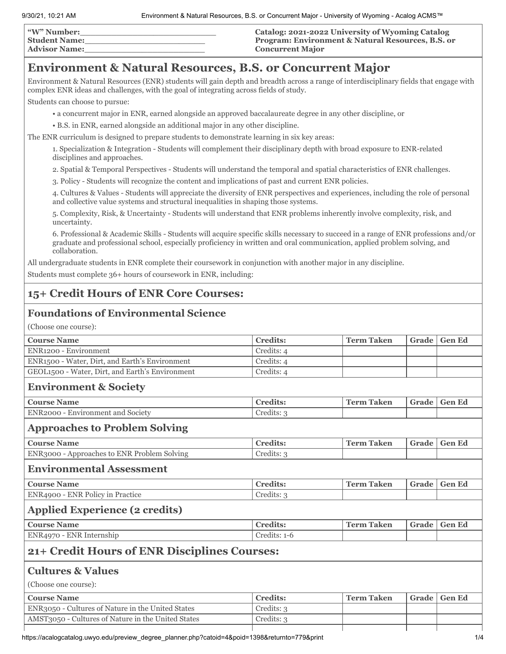| "W" Number:          | Catalog: 2021-2022 University of Wyoming Catalog             |
|----------------------|--------------------------------------------------------------|
| <b>Student Name:</b> | <b>Program: Environment &amp; Natural Resources, B.S. or</b> |
| <b>Advisor Name:</b> | <b>Concurrent Major</b>                                      |

## **Environment & Natural Resources, B.S. or Concurrent Major**

Environment & Natural Resources (ENR) students will gain depth and breadth across a range of interdisciplinary fields that engage with complex ENR ideas and challenges, with the goal of integrating across fields of study.

Students can choose to pursue:

• a concurrent major in ENR, earned alongside an approved baccalaureate degree in any other discipline, or

• B.S. in ENR, earned alongside an additional major in any other discipline.

The ENR curriculum is designed to prepare students to demonstrate learning in six key areas:

1. Specialization & Integration - Students will complement their disciplinary depth with broad exposure to ENR-related disciplines and approaches.

2. Spatial & Temporal Perspectives - Students will understand the temporal and spatial characteristics of ENR challenges.

3. Policy - Students will recognize the content and implications of past and current ENR policies.

4. Cultures & Values - Students will appreciate the diversity of ENR perspectives and experiences, including the role of personal and collective value systems and structural inequalities in shaping those systems.

5. Complexity, Risk, & Uncertainty - Students will understand that ENR problems inherently involve complexity, risk, and uncertainty.

6. Professional & Academic Skills - Students will acquire specific skills necessary to succeed in a range of ENR professions and/or graduate and professional school, especially proficiency in written and oral communication, applied problem solving, and collaboration.

All undergraduate students in ENR complete their coursework in conjunction with another major in any discipline.

Students must complete 36+ hours of coursework in ENR, including:

## **15+ Credit Hours of ENR Core Courses:**

## **Foundations of Environmental Science**

(Choose one course):

| <b>Course Name</b>                                 | <b>Credits:</b> | <b>Term Taken</b> | Grade | <b>Gen Ed</b> |
|----------------------------------------------------|-----------------|-------------------|-------|---------------|
| ENR <sub>1200</sub> - Environment                  | Credits: 4      |                   |       |               |
| ENR1500 - Water, Dirt, and Earth's Environment     | Credits: 4      |                   |       |               |
| GEOL1500 - Water, Dirt, and Earth's Environment    | Credits: 4      |                   |       |               |
| <b>Environment &amp; Society</b>                   |                 |                   |       |               |
| <b>Course Name</b>                                 | <b>Credits:</b> | <b>Term Taken</b> | Grade | <b>Gen Ed</b> |
| ENR2000 - Environment and Society                  | Credits: 3      |                   |       |               |
| <b>Approaches to Problem Solving</b>               |                 |                   |       |               |
| <b>Course Name</b>                                 | <b>Credits:</b> | <b>Term Taken</b> | Grade | <b>Gen Ed</b> |
| ENR3000 - Approaches to ENR Problem Solving        | Credits: 3      |                   |       |               |
| <b>Environmental Assessment</b>                    |                 |                   |       |               |
| <b>Course Name</b>                                 | <b>Credits:</b> | <b>Term Taken</b> | Grade | <b>Gen Ed</b> |
| ENR4900 - ENR Policy in Practice                   | Credits: 3      |                   |       |               |
| <b>Applied Experience (2 credits)</b>              |                 |                   |       |               |
| <b>Course Name</b>                                 | <b>Credits:</b> | <b>Term Taken</b> | Grade | <b>Gen Ed</b> |
| ENR4970 - ENR Internship                           | Credits: 1-6    |                   |       |               |
| 21+ Credit Hours of ENR Disciplines Courses:       |                 |                   |       |               |
| <b>Cultures &amp; Values</b>                       |                 |                   |       |               |
| (Choose one course):                               |                 |                   |       |               |
| <b>Course Name</b>                                 | <b>Credits:</b> | <b>Term Taken</b> | Grade | <b>Gen Ed</b> |
| ENR3050 - Cultures of Nature in the United States  | Credits: 3      |                   |       |               |
| AMST3050 - Cultures of Nature in the United States | Credits: 3      |                   |       |               |
|                                                    |                 |                   |       |               |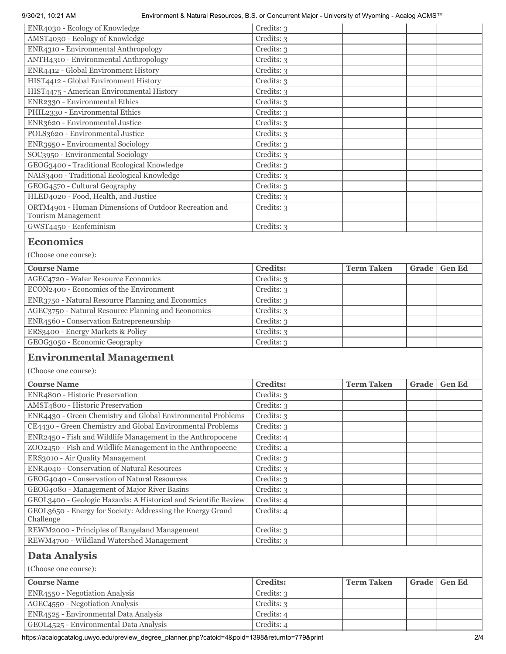### 9/30/21, 10:21 AM Environment & Natural Resources, B.S. or Concurrent Major - University of Wyoming - Acalog ACMS™

| ENR4030 - Ecology of Knowledge                                              | Credits: 3 |
|-----------------------------------------------------------------------------|------------|
| AMST4030 - Ecology of Knowledge                                             | Credits: 3 |
| ENR4310 - Environmental Anthropology                                        | Credits: 3 |
| ANTH4310 - Environmental Anthropology                                       | Credits: 3 |
| ENR4412 - Global Environment History                                        | Credits: 3 |
| HIST4412 - Global Environment History                                       | Credits: 3 |
| HIST4475 - American Environmental History                                   | Credits: 3 |
| ENR2330 - Environmental Ethics                                              | Credits: 3 |
| PHIL2330 - Environmental Ethics                                             | Credits: 3 |
| ENR3620 - Environmental Justice                                             | Credits: 3 |
| POLS3620 - Environmental Justice                                            | Credits: 3 |
| ENR3950 - Environmental Sociology                                           | Credits: 3 |
| SOC3950 - Environmental Sociology                                           | Credits: 3 |
| GEOG3400 - Traditional Ecological Knowledge                                 | Credits: 3 |
| NAIS3400 - Traditional Ecological Knowledge                                 | Credits: 3 |
| GEOG4570 - Cultural Geography                                               | Credits: 3 |
| HLED4020 - Food, Health, and Justice                                        | Credits: 3 |
| ORTM4901 - Human Dimensions of Outdoor Recreation and<br>Tourism Management | Credits: 3 |
| GWST4450 - Ecofeminism                                                      | Credits: 3 |
| $\Gamma$ <sup>2004</sup> $\gamma$ <sup>2004</sup> $\gamma$ <sup>2</sup>     |            |

### **Economics**

(Choose one course):

| <b>Course Name</b>                                 | <b>Credits:</b> | <b>Term Taken</b> | Grade   Gen Ed |
|----------------------------------------------------|-----------------|-------------------|----------------|
| AGEC4720 - Water Resource Economics                | Credits: 3      |                   |                |
| ECON2400 - Economics of the Environment            | Credits: 3      |                   |                |
| ENR3750 - Natural Resource Planning and Economics  | Credits: 3      |                   |                |
| AGEC3750 - Natural Resource Planning and Economics | Credits: 3      |                   |                |
| ENR4560 - Conservation Entrepreneurship            | Credits: 3      |                   |                |
| ERS3400 - Energy Markets & Policy                  | Credits: 3      |                   |                |
| GEOG3050 - Economic Geography                      | Credits: 3      |                   |                |

## **Environmental Management**

(Choose one course):

| <b>Course Name</b>                                                      | <b>Credits:</b> | <b>Term Taken</b> | Grade | <b>Gen Ed</b> |
|-------------------------------------------------------------------------|-----------------|-------------------|-------|---------------|
| ENR4800 - Historic Preservation                                         | Credits: 3      |                   |       |               |
| AMST4800 - Historic Preservation                                        | Credits: 3      |                   |       |               |
| ENR4430 - Green Chemistry and Global Environmental Problems             | Credits: 3      |                   |       |               |
| CE4430 - Green Chemistry and Global Environmental Problems              | Credits: 3      |                   |       |               |
| ENR2450 - Fish and Wildlife Management in the Anthropocene              | Credits: 4      |                   |       |               |
| ZOO2450 - Fish and Wildlife Management in the Anthropocene              | Credits: 4      |                   |       |               |
| ERS3010 - Air Quality Management                                        | Credits: 3      |                   |       |               |
| ENR4040 - Conservation of Natural Resources                             | Credits: 3      |                   |       |               |
| GEOG4040 - Conservation of Natural Resources                            | Credits: 3      |                   |       |               |
| GEOG4080 - Management of Major River Basins                             | Credits: 3      |                   |       |               |
| GEOL3400 - Geologic Hazards: A Historical and Scientific Review         | Credits: 4      |                   |       |               |
| GEOL3650 - Energy for Society: Addressing the Energy Grand<br>Challenge | Credits: 4      |                   |       |               |
| REWM2000 - Principles of Rangeland Management                           | Credits: 3      |                   |       |               |
| REWM4700 - Wildland Watershed Management                                | Credits: 3      |                   |       |               |

# **Data Analysis**

(Choose one course):

| <b>Course Name</b>                     | <b>Credits:</b> | <b>Term Taken</b> | Grade   Gen Ed |
|----------------------------------------|-----------------|-------------------|----------------|
| ENR4550 - Negotiation Analysis         | Credits: 3      |                   |                |
| AGEC4550 - Negotiation Analysis        | Credits: 3      |                   |                |
| ENR4525 - Environmental Data Analysis  | Credits: 4      |                   |                |
| GEOL4525 - Environmental Data Analysis | Credits: 4      |                   |                |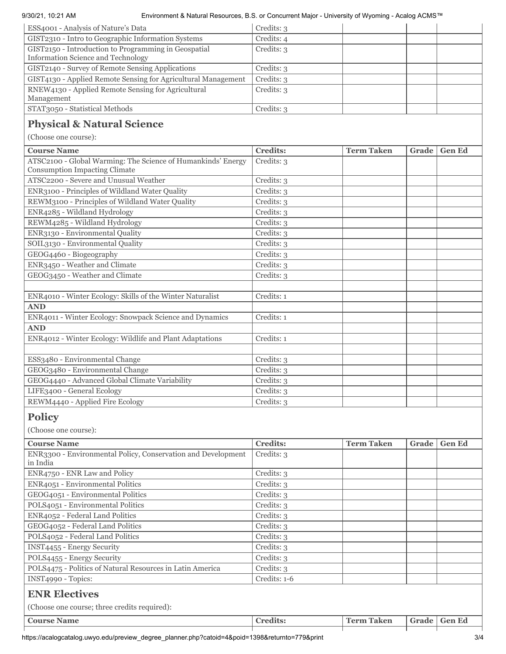### 9/30/21, 10:21 AM Environment & Natural Resources, B.S. or Concurrent Major - University of Wyoming - Acalog ACMS™

| ESS4001 - Analysis of Nature's Data                                                                  | Credits: 3      |                   |       |               |
|------------------------------------------------------------------------------------------------------|-----------------|-------------------|-------|---------------|
| GIST2310 - Intro to Geographic Information Systems                                                   | Credits: 4      |                   |       |               |
| GIST2150 - Introduction to Programming in Geospatial<br><b>Information Science and Technology</b>    | Credits: 3      |                   |       |               |
| GIST2140 - Survey of Remote Sensing Applications                                                     | Credits: 3      |                   |       |               |
| GIST4130 - Applied Remote Sensing for Agricultural Management                                        | Credits: 3      |                   |       |               |
| RNEW4130 - Applied Remote Sensing for Agricultural<br>Management                                     | Credits: 3      |                   |       |               |
| STAT3050 - Statistical Methods                                                                       | Credits: 3      |                   |       |               |
| <b>Physical &amp; Natural Science</b>                                                                |                 |                   |       |               |
| (Choose one course):                                                                                 |                 |                   |       |               |
| <b>Course Name</b>                                                                                   | <b>Credits:</b> | <b>Term Taken</b> | Grade | <b>Gen Ed</b> |
| ATSC2100 - Global Warming: The Science of Humankinds' Energy<br><b>Consumption Impacting Climate</b> | Credits: 3      |                   |       |               |
| ATSC2200 - Severe and Unusual Weather                                                                | Credits: 3      |                   |       |               |
| ENR3100 - Principles of Wildland Water Quality                                                       | Credits: 3      |                   |       |               |
| REWM3100 - Principles of Wildland Water Quality                                                      | Credits: 3      |                   |       |               |
| ENR4285 - Wildland Hydrology                                                                         | Credits: 3      |                   |       |               |
| REWM4285 - Wildland Hydrology                                                                        | Credits: 3      |                   |       |               |
| ENR3130 - Environmental Quality                                                                      | Credits: 3      |                   |       |               |
| SOIL3130 - Environmental Quality                                                                     | Credits: 3      |                   |       |               |
| GEOG4460 - Biogeography                                                                              | Credits: 3      |                   |       |               |
| ENR3450 - Weather and Climate                                                                        | Credits: 3      |                   |       |               |

## **Policy**

**AND**

**AND**

(Choose one course):

| <b>Course Name</b>                                           | <b>Credits:</b> | <b>Term Taken</b> | Grade | <b>Gen Ed</b> |
|--------------------------------------------------------------|-----------------|-------------------|-------|---------------|
| ENR3300 - Environmental Policy, Conservation and Development | Credits: 3      |                   |       |               |
| in India                                                     |                 |                   |       |               |
| ENR4750 - ENR Law and Policy                                 | Credits: 3      |                   |       |               |
| ENR4051 - Environmental Politics                             | Credits: 3      |                   |       |               |
| GEOG4051 - Environmental Politics                            | Credits: 3      |                   |       |               |
| POLS4051 - Environmental Politics                            | Credits: 3      |                   |       |               |
| ENR4052 - Federal Land Politics                              | Credits: 3      |                   |       |               |
| GEOG4052 - Federal Land Politics                             | Credits: 3      |                   |       |               |
| POLS4052 - Federal Land Politics                             | Credits: 3      |                   |       |               |
| <b>INST4455 - Energy Security</b>                            | Credits: 3      |                   |       |               |
| POLS4455 - Energy Security                                   | Credits: 3      |                   |       |               |
| POLS4475 - Politics of Natural Resources in Latin America    | Credits: 3      |                   |       |               |
| INST4990 - Topics:                                           | Credits: 1-6    |                   |       |               |
| <b>ENR Electives</b>                                         |                 |                   |       |               |
| (Choose one course; three credits required):                 |                 |                   |       |               |
| <b>Course Name</b>                                           | <b>Credits:</b> | <b>Term Taken</b> | Grade | <b>Gen Ed</b> |

ENR4010 - Winter Ecology: Skills of the Winter Naturalist Credits: 1

ENR4011 - Winter Ecology: Snowpack Science and Dynamics Credits: 1

ENR4012 - Winter Ecology: Wildlife and Plant Adaptations Credits: 1

ESS3480 - Environmental Change Credits: 3 GEOG3480 - Environmental Change Credits: 3 GEOG4440 - Advanced Global Climate Variability | Credits: 3 LIFE3400 - General Ecology Credits: 3 REWM4440 - Applied Fire Ecology Credits: 3